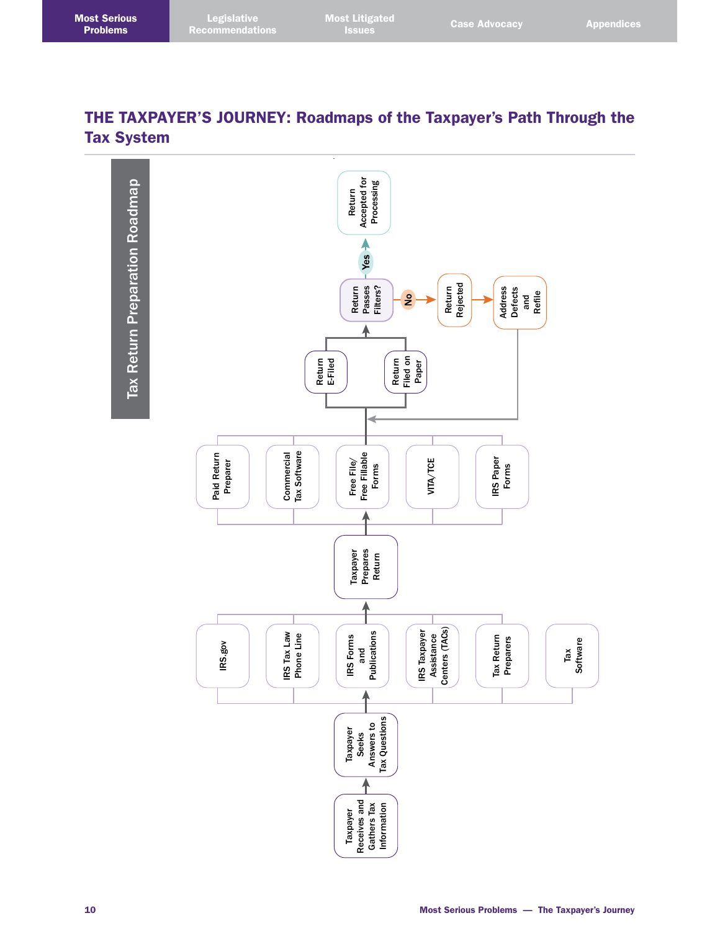## THE TAXPAYER'S JOURNEY: Roadmaps of the Taxpayer's Path Through the Tax System

Tax Return Preparation Roadmap Tax Return Preparation Roadmap

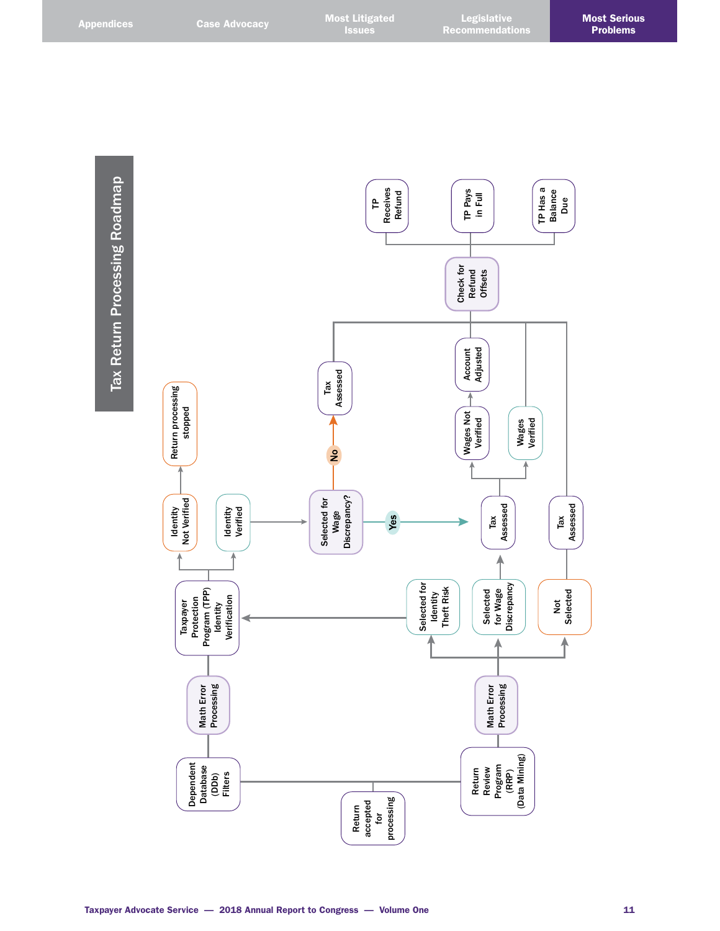Tax Return Processing Roadmap Tax Return Processing Roadmap

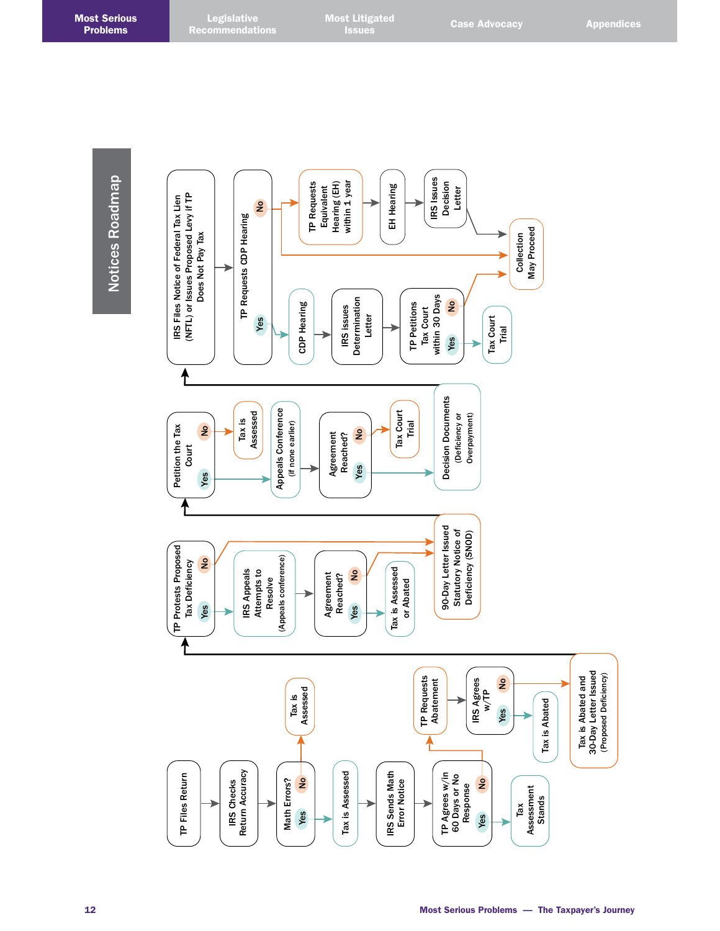**Legislative** Recommendations

Notices Roadmap **Notices Roadmap** 

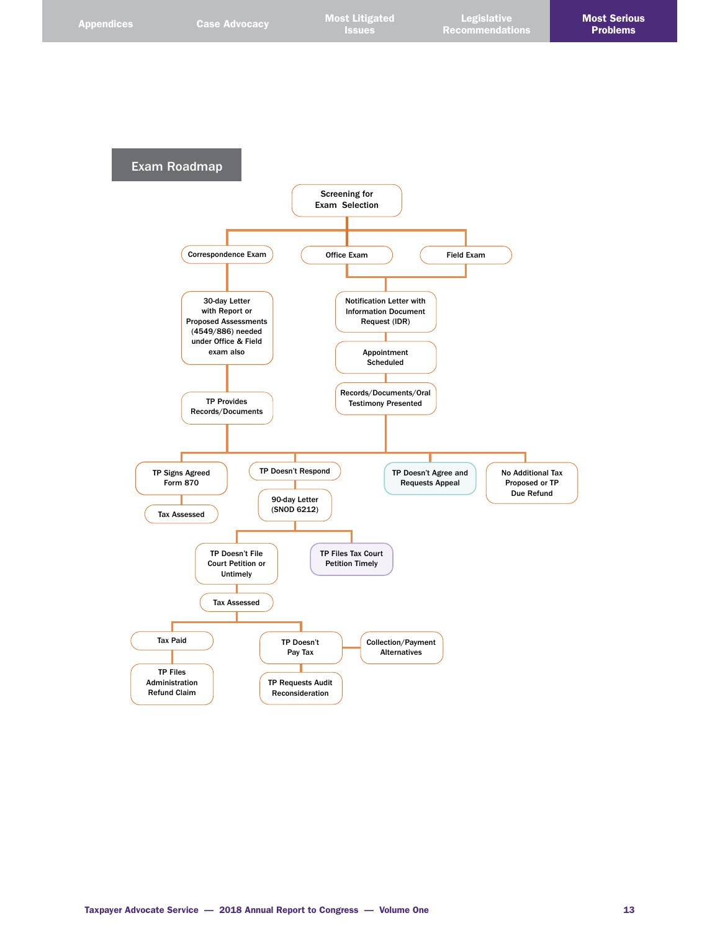

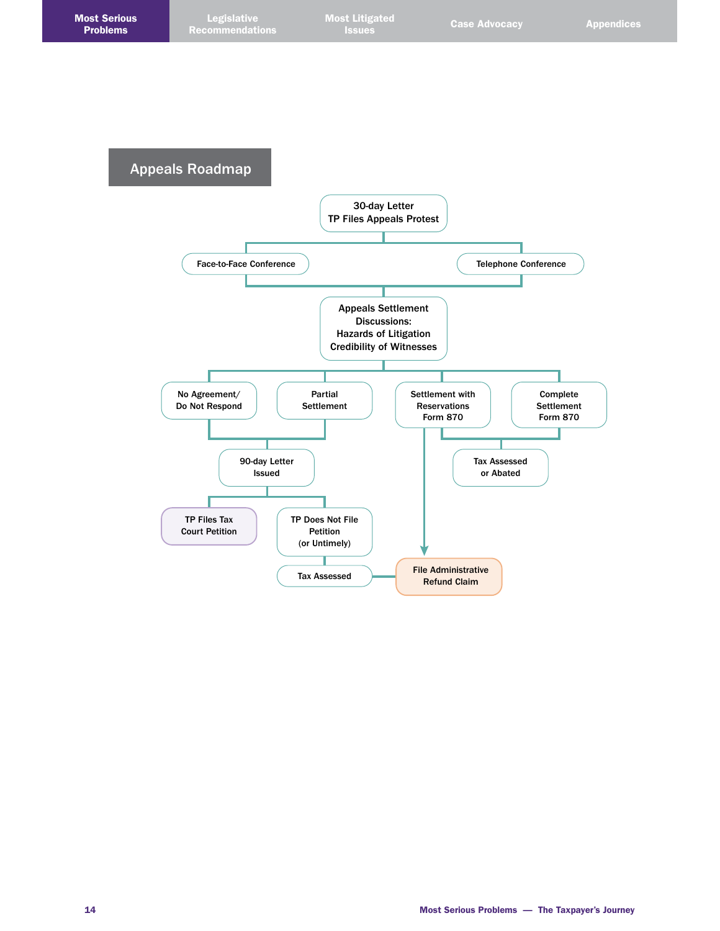Appeals Roadmap

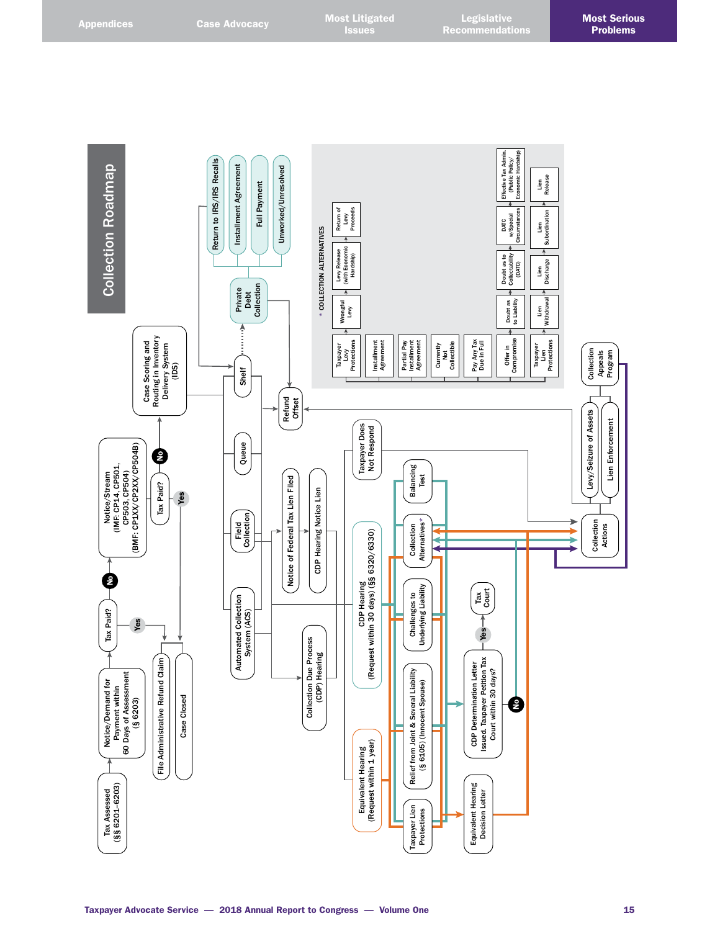Effective Tax Admin.<br>(Public Policy/<br>Economic Hardship) Effective Tax Admin. Economic Hardship) Return to IRS/IRS Recalls (Public Policy/ Return to IRS/IRS Recalls Notice/Demand for  $\begin{array}{|c|c|c|}\hline \multicolumn{1}{|c|}{\multicolumn{1}{c|}{\multicolumn{1}{c}}}{\text{Notice} {\it Denating}} & \multicolumn{1}{|c|}{\hline \multicolumn{1}{c|}{\text{Notice}}{\it Stenam}} & \multicolumn{1}{|c|}{\hline \multicolumn{1}{c|}{\text{Notice}}{\it Proval}} & \multicolumn{1}{|c|}{\text{Payment within}}} & \multicolumn{1}{|c|}{\text{Payment within}} & \multicolumn{1}{|c|}{\text{Payment}} & \multicolumn{1}{|c|}{\text{P$ **Collection Roadmap** Installment Agreement Installment Agreement Unworked/Unresolved Unworked/Unresolved Lien Release Full Payment Full Payment Return of<br>Levy<br>Proceeds Return of Proceeds Circumstances Subordination Subordination w/Special w/Special DATC Lien **COLLECTION ALTERNATIVES** \* COLLECTION ALTERNATIVES Levy Release<br>(with Economic<br>Hardship) (with Economic Levy Release Doubt as to Collectability Discharge DATC) ( Lien Collection Private Debt Withdrawal Doubt as to Liability to Liability Withdrawal Wrongful Levy Doubt as Lien A<br>::::: Routing in Inventory<br>Delivery System<br>(IDS) Routing in Inventory Offer in Partial Pay<br>Installment<br>Agreement Pay Any Tax<br>Due in Full Case Scoring and Case Scoring and Installment<br>Agreement Installment Installment Pay Any Tax Compromise Protections Partial Pay Protections Delivery System Agreement AgreementCurrently Not Collectible Due in Full Taxpayer<br>Levy Taxpayer Lien Collection Collection Appeals Program Shelf Refund Offset Levy/Seizure of Assets Levy/Seizure of Assets Lien Enforcement Taxpayer Does Lien Enforcement Taxpayer Does Not Respond  $\begin{bmatrix} \text{Notice/stream} \\ (\text{IMF: CPA, CPSO1}, \\ \text{CPSO3, CPSO4}) \\ (\text{BMF: CPXX/CPX/CPSO4B}) \end{bmatrix}$ Queue (BMF: CP1XX/CP2XX/CP504B) Ç (IMF: CP14, CP501, Balancing Balancing Test CP503, CP504) Notice/Stream Tax Paid? Notice of Federal Tax Lien Filed Notice of Federal Tax Lien Filed Tax Paid? **CDP Hearing Notice Lien** CDP Hearing Notice Lien Yes Field<br>Collection Automated Collection **Collection Collection**<br>System (ACS) Collection Collection<br>Alternatives\* Collection Collection Alternatives\* Collection Actions CDP Hearing<br>(Request within 30 days) (§§ 6320/6330) (Request within 30 days) (§§ 6320/6330) ▶ 2 CDP Hearing Challenges to<br>Underlying Liability Underlying Liability Tax Court Challenges to Automated Collection<br>System (ACS) Tax Paid? Tax Paid? Yes Yes Collection Due Process<br>(CDP) Hearing Collection Due Process CDP Determination Letter<br>Issued. Taxpayer Petition Tax<br>Court within 30 days? (CDP) Hearing File Administrative Refund Claim Issued. Taxpayer Petition Tax File Administrative Refund Claim CDP Determination Letter Payment within<br>
60 Days of Assessment<br>
(§ 6203) Relief from Joint & Several Liability Relief from Joint & Several Liability Court within 30 days? 60 Days of Assessment (§ 6105) (Innocent Spouse) Notice/Demand for (§ 6105) (Innocent Spouse) Case Closed Case Closed  $\boldsymbol{\epsilon}$ Equivalent Hearing<br>(Request within 1 year) (Request within 1 year) Equivalent Hearing Equivalent Hearing<br>Decision Letter Tax Assessed<br>(§§ 6201-6203) Equivalent Hearing (§§ 6201–6203) Tax Assessed Decision Letter Taxpayer Lien Taxpayer Lien Protections